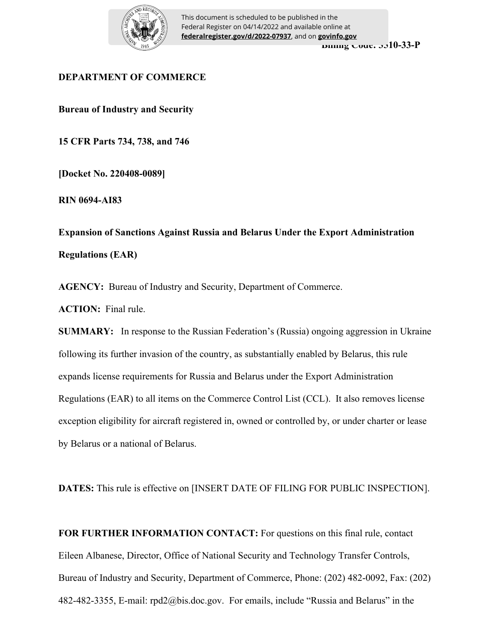

**Billing Code: 3510-33-P** This document is scheduled to be published in the Federal Register on 04/14/2022 and available online at **federalregister.gov/d/2022-07937**, and on **govinfo.gov**

# **DEPARTMENT OF COMMERCE**

**Bureau of Industry and Security**

**15 CFR Parts 734, 738, and 746**

**[Docket No. 220408-0089]**

**RIN 0694-AI83** 

**Expansion of Sanctions Against Russia and Belarus Under the Export Administration Regulations (EAR)**

**AGENCY:** Bureau of Industry and Security, Department of Commerce.

**ACTION:** Final rule.

**SUMMARY:** In response to the Russian Federation's (Russia) ongoing aggression in Ukraine following its further invasion of the country, as substantially enabled by Belarus, this rule expands license requirements for Russia and Belarus under the Export Administration Regulations (EAR) to all items on the Commerce Control List (CCL). It also removes license exception eligibility for aircraft registered in, owned or controlled by, or under charter or lease by Belarus or a national of Belarus.

**DATES:** This rule is effective on [INSERT DATE OF FILING FOR PUBLIC INSPECTION].

**FOR FURTHER INFORMATION CONTACT:** For questions on this final rule, contact Eileen Albanese, Director, Office of National Security and Technology Transfer Controls, Bureau of Industry and Security, Department of Commerce, Phone: (202) 482-0092, Fax: (202) 482-482-3355, E-mail: rpd2@bis.doc.gov. For emails, include "Russia and Belarus" in the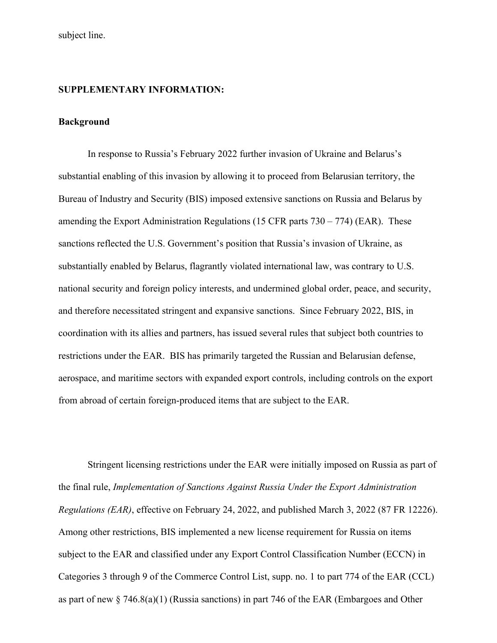subject line.

### **SUPPLEMENTARY INFORMATION:**

## **Background**

In response to Russia's February 2022 further invasion of Ukraine and Belarus's substantial enabling of this invasion by allowing it to proceed from Belarusian territory, the Bureau of Industry and Security (BIS) imposed extensive sanctions on Russia and Belarus by amending the Export Administration Regulations (15 CFR parts 730 – 774) (EAR). These sanctions reflected the U.S. Government's position that Russia's invasion of Ukraine, as substantially enabled by Belarus, flagrantly violated international law, was contrary to U.S. national security and foreign policy interests, and undermined global order, peace, and security, and therefore necessitated stringent and expansive sanctions. Since February 2022, BIS, in coordination with its allies and partners, has issued several rules that subject both countries to restrictions under the EAR. BIS has primarily targeted the Russian and Belarusian defense, aerospace, and maritime sectors with expanded export controls, including controls on the export from abroad of certain foreign-produced items that are subject to the EAR.

Stringent licensing restrictions under the EAR were initially imposed on Russia as part of the final rule, *Implementation of Sanctions Against Russia Under the Export Administration Regulations (EAR)*, effective on February 24, 2022, and published March 3, 2022 (87 FR 12226). Among other restrictions, BIS implemented a new license requirement for Russia on items subject to the EAR and classified under any Export Control Classification Number (ECCN) in Categories 3 through 9 of the Commerce Control List, supp. no. 1 to part 774 of the EAR (CCL) as part of new § 746.8(a)(1) (Russia sanctions) in part 746 of the EAR (Embargoes and Other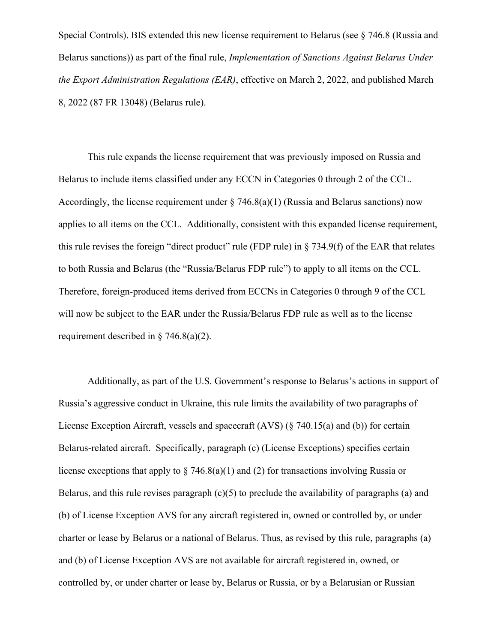Special Controls). BIS extended this new license requirement to Belarus (see § 746.8 (Russia and Belarus sanctions)) as part of the final rule, *Implementation of Sanctions Against Belarus Under the Export Administration Regulations (EAR)*, effective on March 2, 2022, and published March 8, 2022 (87 FR 13048) (Belarus rule).

This rule expands the license requirement that was previously imposed on Russia and Belarus to include items classified under any ECCN in Categories 0 through 2 of the CCL. Accordingly, the license requirement under  $\S$  746.8(a)(1) (Russia and Belarus sanctions) now applies to all items on the CCL. Additionally, consistent with this expanded license requirement, this rule revises the foreign "direct product" rule (FDP rule) in § 734.9(f) of the EAR that relates to both Russia and Belarus (the "Russia/Belarus FDP rule") to apply to all items on the CCL. Therefore, foreign-produced items derived from ECCNs in Categories 0 through 9 of the CCL will now be subject to the EAR under the Russia/Belarus FDP rule as well as to the license requirement described in § 746.8(a)(2).

Additionally, as part of the U.S. Government's response to Belarus's actions in support of Russia's aggressive conduct in Ukraine, this rule limits the availability of two paragraphs of License Exception Aircraft, vessels and spacecraft (AVS) (§ 740.15(a) and (b)) for certain Belarus-related aircraft. Specifically, paragraph (c) (License Exceptions) specifies certain license exceptions that apply to  $\S$  746.8(a)(1) and (2) for transactions involving Russia or Belarus, and this rule revises paragraph  $(c)(5)$  to preclude the availability of paragraphs (a) and (b) of License Exception AVS for any aircraft registered in, owned or controlled by, or under charter or lease by Belarus or a national of Belarus. Thus, as revised by this rule, paragraphs (a) and (b) of License Exception AVS are not available for aircraft registered in, owned, or controlled by, or under charter or lease by, Belarus or Russia, or by a Belarusian or Russian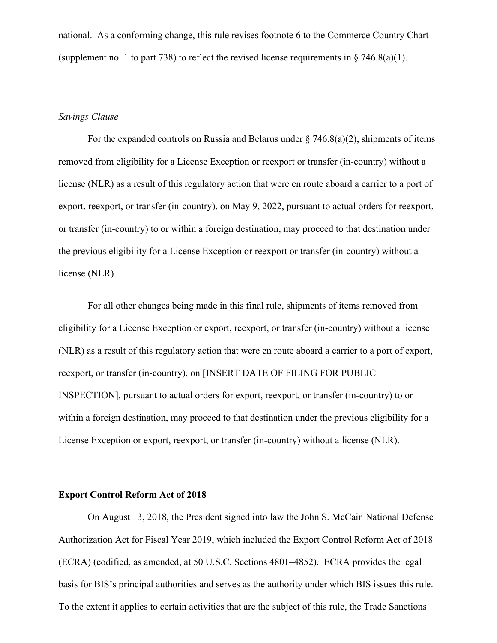national. As a conforming change, this rule revises footnote 6 to the Commerce Country Chart (supplement no. 1 to part 738) to reflect the revised license requirements in  $\S$  746.8(a)(1).

## *Savings Clause*

For the expanded controls on Russia and Belarus under  $\S$  746.8(a)(2), shipments of items removed from eligibility for a License Exception or reexport or transfer (in-country) without a license (NLR) as a result of this regulatory action that were en route aboard a carrier to a port of export, reexport, or transfer (in-country), on May 9, 2022, pursuant to actual orders for reexport, or transfer (in-country) to or within a foreign destination, may proceed to that destination under the previous eligibility for a License Exception or reexport or transfer (in-country) without a license (NLR).

For all other changes being made in this final rule, shipments of items removed from eligibility for a License Exception or export, reexport, or transfer (in-country) without a license (NLR) as a result of this regulatory action that were en route aboard a carrier to a port of export, reexport, or transfer (in-country), on [INSERT DATE OF FILING FOR PUBLIC INSPECTION], pursuant to actual orders for export, reexport, or transfer (in-country) to or within a foreign destination, may proceed to that destination under the previous eligibility for a License Exception or export, reexport, or transfer (in-country) without a license (NLR).

#### **Export Control Reform Act of 2018**

On August 13, 2018, the President signed into law the John S. McCain National Defense Authorization Act for Fiscal Year 2019, which included the Export Control Reform Act of 2018 (ECRA) (codified, as amended, at 50 U.S.C. Sections 4801–4852). ECRA provides the legal basis for BIS's principal authorities and serves as the authority under which BIS issues this rule. To the extent it applies to certain activities that are the subject of this rule, the Trade Sanctions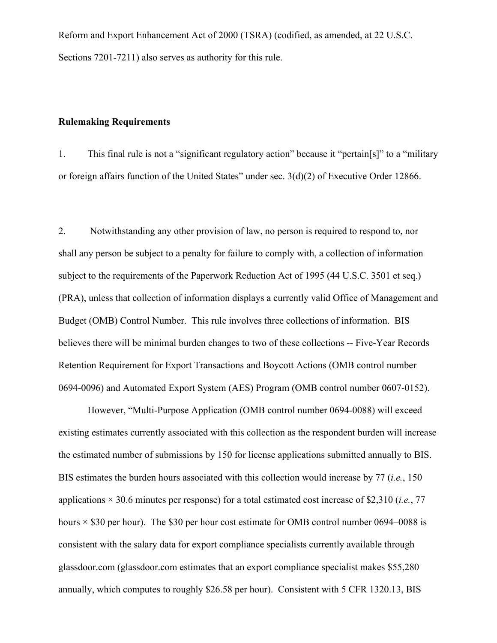Reform and Export Enhancement Act of 2000 (TSRA) (codified, as amended, at 22 U.S.C. Sections 7201-7211) also serves as authority for this rule.

## **Rulemaking Requirements**

1. This final rule is not a "significant regulatory action" because it "pertain[s]" to a "military or foreign affairs function of the United States" under sec. 3(d)(2) of Executive Order 12866.

2. Notwithstanding any other provision of law, no person is required to respond to, nor shall any person be subject to a penalty for failure to comply with, a collection of information subject to the requirements of the Paperwork Reduction Act of 1995 (44 U.S.C. 3501 et seq.) (PRA), unless that collection of information displays a currently valid Office of Management and Budget (OMB) Control Number. This rule involves three collections of information. BIS believes there will be minimal burden changes to two of these collections -- Five-Year Records Retention Requirement for Export Transactions and Boycott Actions (OMB control number 0694-0096) and Automated Export System (AES) Program (OMB control number 0607-0152).

However, "Multi-Purpose Application (OMB control number 0694-0088) will exceed existing estimates currently associated with this collection as the respondent burden will increase the estimated number of submissions by 150 for license applications submitted annually to BIS. BIS estimates the burden hours associated with this collection would increase by 77 (*i.e.*, 150 applications × 30.6 minutes per response) for a total estimated cost increase of \$2,310 (*i.e.*, 77 hours  $\times$  \$30 per hour). The \$30 per hour cost estimate for OMB control number 0694–0088 is consistent with the salary data for export compliance specialists currently available through glassdoor.com (glassdoor.com estimates that an export compliance specialist makes \$55,280 annually, which computes to roughly \$26.58 per hour). Consistent with 5 CFR 1320.13, BIS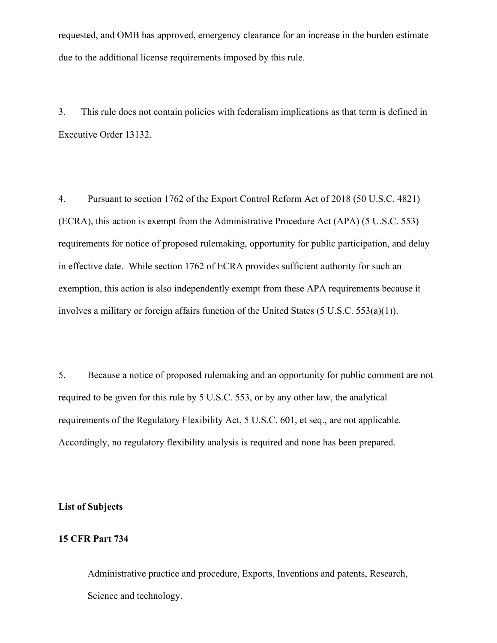requested, and OMB has approved, emergency clearance for an increase in the burden estimate due to the additional license requirements imposed by this rule.

3. This rule does not contain policies with federalism implications as that term is defined in Executive Order 13132.

4. Pursuant to section 1762 of the Export Control Reform Act of 2018 (50 U.S.C. 4821) (ECRA), this action is exempt from the Administrative Procedure Act (APA) (5 U.S.C. 553) requirements for notice of proposed rulemaking, opportunity for public participation, and delay in effective date. While section 1762 of ECRA provides sufficient authority for such an exemption, this action is also independently exempt from these APA requirements because it involves a military or foreign affairs function of the United States (5 U.S.C. 553(a)(1)).

5. Because a notice of proposed rulemaking and an opportunity for public comment are not required to be given for this rule by 5 U.S.C. 553, or by any other law, the analytical requirements of the Regulatory Flexibility Act, 5 U.S.C. 601, et seq., are not applicable. Accordingly, no regulatory flexibility analysis is required and none has been prepared.

**List of Subjects**

#### **15 CFR Part 734**

Administrative practice and procedure, Exports, Inventions and patents, Research, Science and technology.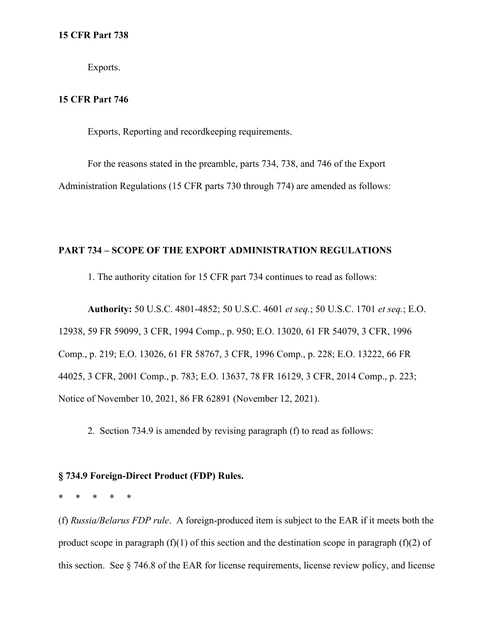Exports.

# **15 CFR Part 746**

Exports, Reporting and recordkeeping requirements.

For the reasons stated in the preamble, parts 734, 738, and 746 of the Export Administration Regulations (15 CFR parts 730 through 774) are amended as follows:

# **PART 734 – SCOPE OF THE EXPORT ADMINISTRATION REGULATIONS**

1. The authority citation for 15 CFR part 734 continues to read as follows:

**Authority:** 50 U.S.C. 4801-4852; 50 U.S.C. 4601 *et seq.*; 50 U.S.C. 1701 *et seq.*; E.O. 12938, 59 FR 59099, 3 CFR, 1994 Comp., p. 950; E.O. 13020, 61 FR 54079, 3 CFR, 1996 Comp., p. 219; E.O. 13026, 61 FR 58767, 3 CFR, 1996 Comp., p. 228; E.O. 13222, 66 FR 44025, 3 CFR, 2001 Comp., p. 783; E.O. 13637, 78 FR 16129, 3 CFR, 2014 Comp., p. 223; Notice of November 10, 2021, 86 FR 62891 (November 12, 2021).

2. Section 734.9 is amended by revising paragraph (f) to read as follows:

## **§ 734.9 Foreign-Direct Product (FDP) Rules.**

\* \* \* \* \*

(f) *Russia/Belarus FDP rule*.A foreign-produced item is subject to the EAR if it meets both the product scope in paragraph  $(f)(1)$  of this section and the destination scope in paragraph  $(f)(2)$  of this section. See § 746.8 of the EAR for license requirements, license review policy, and license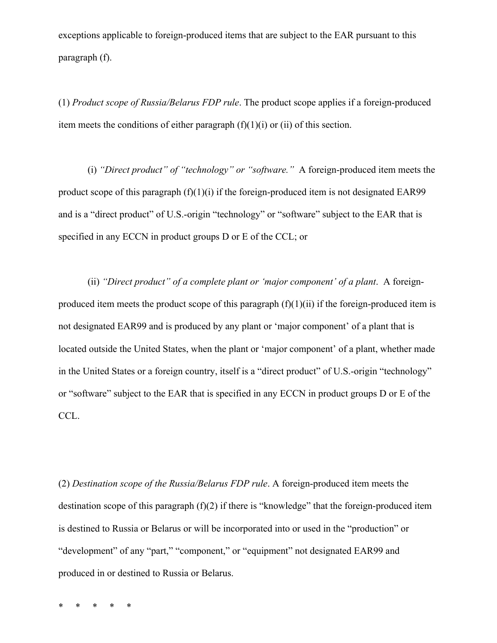exceptions applicable to foreign-produced items that are subject to the EAR pursuant to this paragraph (f).

(1) *Product scope of Russia/Belarus FDP rule*. The product scope applies if a foreign-produced item meets the conditions of either paragraph  $(f)(1)(i)$  or  $(ii)$  of this section.

(i) *"Direct product" of "technology" or "software."* A foreign-produced item meets the product scope of this paragraph (f)(1)(i) if the foreign-produced item is not designated EAR99 and is a "direct product" of U.S.-origin "technology" or "software" subject to the EAR that is specified in any ECCN in product groups D or E of the CCL; or

(ii) *"Direct product" of a complete plant or 'major component' of a plant*. A foreignproduced item meets the product scope of this paragraph  $(f)(1)(ii)$  if the foreign-produced item is not designated EAR99 and is produced by any plant or 'major component' of a plant that is located outside the United States, when the plant or 'major component' of a plant, whether made in the United States or a foreign country, itself is a "direct product" of U.S.-origin "technology" or "software" subject to the EAR that is specified in any ECCN in product groups D or E of the CCL.

(2) *Destination scope of the Russia/Belarus FDP rule*. A foreign-produced item meets the destination scope of this paragraph (f)(2) if there is "knowledge" that the foreign-produced item is destined to Russia or Belarus or will be incorporated into or used in the "production" or "development" of any "part," "component," or "equipment" not designated EAR99 and produced in or destined to Russia or Belarus.

\* \* \* \* \*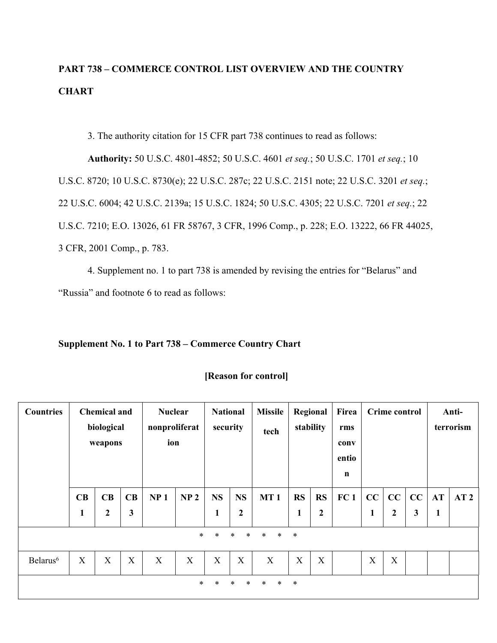# **PART 738 – COMMERCE CONTROL LIST OVERVIEW AND THE COUNTRY CHART**

3. The authority citation for 15 CFR part 738 continues to read as follows:

**Authority:** 50 U.S.C. 4801-4852; 50 U.S.C. 4601 *et seq.*; 50 U.S.C. 1701 *et seq.*; 10 U.S.C. 8720; 10 U.S.C. 8730(e); 22 U.S.C. 287c; 22 U.S.C. 2151 note; 22 U.S.C. 3201 *et seq.*; 22 U.S.C. 6004; 42 U.S.C. 2139a; 15 U.S.C. 1824; 50 U.S.C. 4305; 22 U.S.C. 7201 *et seq.*; 22 U.S.C. 7210; E.O. 13026, 61 FR 58767, 3 CFR, 1996 Comp., p. 228; E.O. 13222, 66 FR 44025, 3 CFR, 2001 Comp., p. 783.

4. Supplement no. 1 to part 738 is amended by revising the entries for "Belarus" and "Russia" and footnote 6 to read as follows:

# **Supplement No. 1 to Part 738 – Commerce Country Chart**

| <b>Countries</b>     | <b>Chemical and</b><br>biological<br>weapons                       |                    |                           | <b>Nuclear</b><br>nonproliferat<br>ion |                 | <b>National</b><br>security |                           | <b>Missile</b><br>tech | Regional<br>stability     |                           | Firea<br>rms<br>conv<br>entio<br>$\mathbf n$ | <b>Crime control</b> |                      | Anti-<br>terrorism |                |                 |
|----------------------|--------------------------------------------------------------------|--------------------|---------------------------|----------------------------------------|-----------------|-----------------------------|---------------------------|------------------------|---------------------------|---------------------------|----------------------------------------------|----------------------|----------------------|--------------------|----------------|-----------------|
|                      | CB<br>1                                                            | CB<br>$\mathbf{2}$ | CB<br>3                   | NP <sub>1</sub>                        | NP <sub>2</sub> | <b>NS</b><br>1              | <b>NS</b><br>$\mathbf 2$  | MT <sub>1</sub>        | <b>RS</b><br>1            | <b>RS</b><br>$\mathbf{2}$ | FC <sub>1</sub>                              | CC<br>$\mathbf{1}$   | CC<br>$\overline{2}$ | CC<br>$\mathbf{3}$ | <b>AT</b><br>1 | AT <sub>2</sub> |
|                      | $\ast$<br>$\ast$<br>$\ast$<br>$\ast$<br>$\ast$<br>$\ast$<br>$\ast$ |                    |                           |                                        |                 |                             |                           |                        |                           |                           |                                              |                      |                      |                    |                |                 |
| Belarus <sup>6</sup> | $\boldsymbol{\mathrm{X}}$                                          | X                  | $\boldsymbol{\mathrm{X}}$ | X                                      | X               | $\boldsymbol{\mathrm{X}}$   | $\boldsymbol{\mathrm{X}}$ | X                      | $\boldsymbol{\mathrm{X}}$ | X                         |                                              | $\mathbf X$          | X                    |                    |                |                 |
|                      |                                                                    |                    |                           |                                        | $\ast$          | $\ast$                      | $\ast$<br>*               | $\ast$<br>$\ast$       | $\ast$                    |                           |                                              |                      |                      |                    |                |                 |

# **[Reason for control]**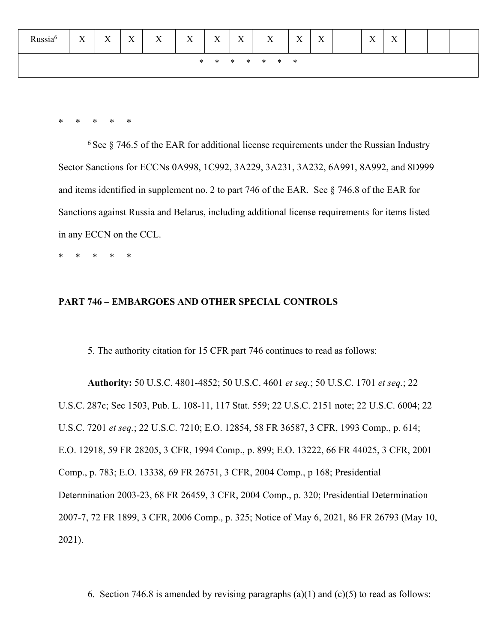| Russia <sup>6</sup> | X | $\mathbf{v}$<br>$\Lambda$ | $\mathbf{v}$<br>$\Lambda$ | X | X | X | X | X             | $\mathbf{x}$<br>$\Lambda$ | $\mathbf{x}$<br>$\Lambda$ | $\mathbf{x}$<br>$\Lambda$ | $\mathbf{x}$<br>$\Lambda$ |  |  |
|---------------------|---|---------------------------|---------------------------|---|---|---|---|---------------|---------------------------|---------------------------|---------------------------|---------------------------|--|--|
|                     |   |                           |                           |   |   |   |   | * * * * * * * |                           |                           |                           |                           |  |  |

\* \* \* \* \*

 $6$  See  $8$  746.5 of the EAR for additional license requirements under the Russian Industry Sector Sanctions for ECCNs 0A998, 1C992, 3A229, 3A231, 3A232, 6A991, 8A992, and 8D999 and items identified in supplement no. 2 to part 746 of the EAR. See § 746.8 of the EAR for Sanctions against Russia and Belarus, including additional license requirements for items listed in any ECCN on the CCL.

\* \* \* \* \*

## **PART 746 – EMBARGOES AND OTHER SPECIAL CONTROLS**

5. The authority citation for 15 CFR part 746 continues to read as follows:

**Authority:** 50 U.S.C. 4801-4852; 50 U.S.C. 4601 *et seq.*; 50 U.S.C. 1701 *et seq.*; 22 U.S.C. 287c; Sec 1503, Pub. L. 108-11, 117 Stat. 559; 22 U.S.C. 2151 note; 22 U.S.C. 6004; 22 U.S.C. 7201 *et seq.*; 22 U.S.C. 7210; E.O. 12854, 58 FR 36587, 3 CFR, 1993 Comp., p. 614; E.O. 12918, 59 FR 28205, 3 CFR, 1994 Comp., p. 899; E.O. 13222, 66 FR 44025, 3 CFR, 2001 Comp., p. 783; E.O. 13338, 69 FR 26751, 3 CFR, 2004 Comp., p 168; Presidential Determination 2003-23, 68 FR 26459, 3 CFR, 2004 Comp., p. 320; Presidential Determination 2007-7, 72 FR 1899, 3 CFR, 2006 Comp., p. 325; Notice of May 6, 2021, 86 FR 26793 (May 10, 2021).

6. Section 746.8 is amended by revising paragraphs  $(a)(1)$  and  $(c)(5)$  to read as follows: